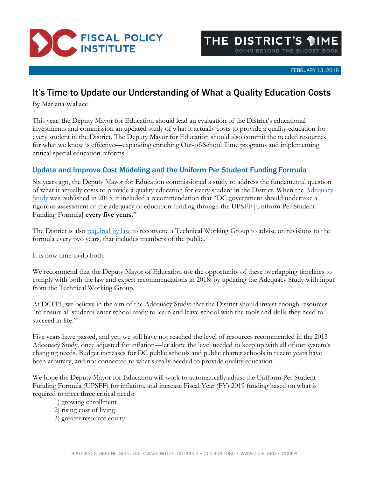

FEBRUARY 13, 2018

## It's Time to Update our Understanding of What a Quality Education Costs

By Marlana Wallace

This year, the Deputy Mayor for Education should lead an evaluation of the District's educational investments and commission an updated study of what it actually costs to provide a quality education for every student in the District. The Deputy Mayor for Education should also commit the needed resources for what we know is effective—expanding enriching Out-of-School Time programs and implementing critical special education reforms.

## Update and Improve Cost Modeling and the Uniform Per Student Funding Formula

Six years ago, the Deputy Mayor for Education commissioned a study to address the fundamental question of what it actually costs to provide a quality education for every student in the District. When the [Adequacy](https://osse.dc.gov/sites/default/files/dc/sites/osse/release_content/attachments/DC%20Adequacy%20Study_Full%20Report.pdf)  [Study](https://osse.dc.gov/sites/default/files/dc/sites/osse/release_content/attachments/DC%20Adequacy%20Study_Full%20Report.pdf) was published in 2013, it included a recommendation that "DC government should undertake a rigorous assessment of the adequacy of education funding through the UPSFF [Uniform Per Student Funding Formula] **every five years**."

The District is also [required by law](https://code.dccouncil.us/dc/council/code/titles/38/chapters/29/) to reconvene a Technical Working Group to advise on revisions to the formula every two years, that includes members of the public.

It is now time to do both.

We recommend that the Deputy Mayor of Education use the opportunity of these overlapping timelines to comply with both the law and expert recommendations in 2018: by updating the Adequacy Study with input from the Technical Working Group.

At DCFPI, we believe in the aim of the Adequacy Study: that the District should invest enough resources "to ensure all students enter school ready to learn and leave school with the tools and skills they need to succeed in life."

Five years have passed, and yet, we still have not reached the level of resources recommended in the 2013 Adequacy Study, once adjusted for inflation—let alone the level needed to keep up with all of our system's changing needs. Budget increases for DC public schools and public charter schools in recent years have been arbitrary, and not connected to what's really needed to provide quality education.

We hope the Deputy Mayor for Education will work to automatically adjust the Uniform Per Student Funding Formula (UPSFF) for inflation, and increase Fiscal Year (FY) 2019 funding based on what is required to meet three critical needs:

- 1) growing enrollment
- 2) rising cost of living
- 3) greater resource equity